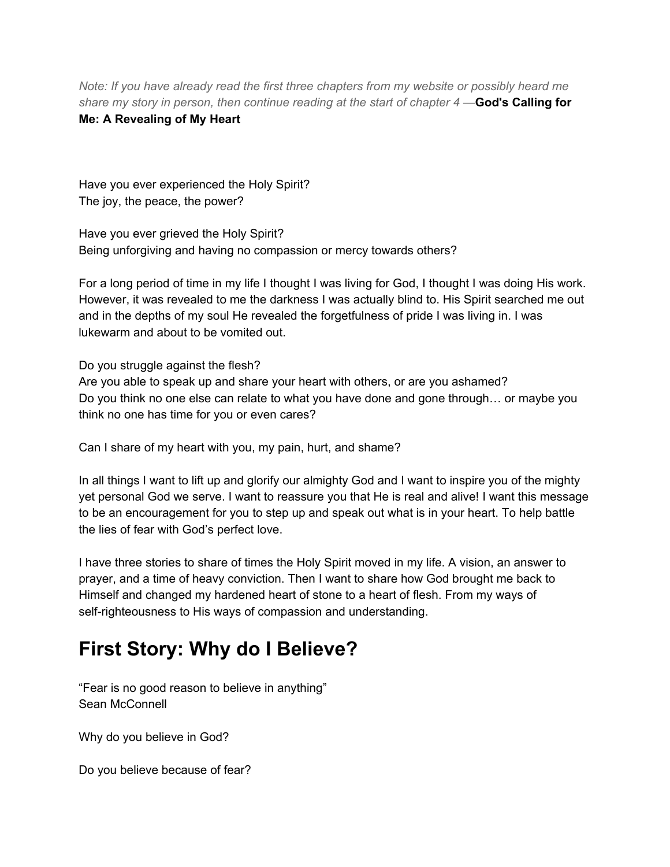*Note: If you have already read the first three chapters from my website or possibly heard me share my story in person, then continue reading at the start of chapter 4 —***God's Calling for**

**Me: A Revealing of My Heart**

Have you ever experienced the Holy Spirit? The joy, the peace, the power?

Have you ever grieved the Holy Spirit? Being unforgiving and having no compassion or mercy towards others?

For a long period of time in my life I thought I was living for God, I thought I was doing His work. However, it was revealed to me the darkness I was actually blind to. His Spirit searched me out and in the depths of my soul He revealed the forgetfulness of pride I was living in. I was lukewarm and about to be vomited out.

Do you struggle against the flesh?

Are you able to speak up and share your heart with others, or are you ashamed? Do you think no one else can relate to what you have done and gone through… or maybe you think no one has time for you or even cares?

Can I share of my heart with you, my pain, hurt, and shame?

In all things I want to lift up and glorify our almighty God and I want to inspire you of the mighty yet personal God we serve. I want to reassure you that He is real and alive! I want this message to be an encouragement for you to step up and speak out what is in your heart. To help battle the lies of fear with God's perfect love.

I have three stories to share of times the Holy Spirit moved in my life. A vision, an answer to prayer, and a time of heavy conviction. Then I want to share how God brought me back to Himself and changed my hardened heart of stone to a heart of flesh. From my ways of self-righteousness to His ways of compassion and understanding.

## **First Story: Why do I Believe?**

"Fear is no good reason to believe in anything" Sean McConnell

Why do you believe in God?

Do you believe because of fear?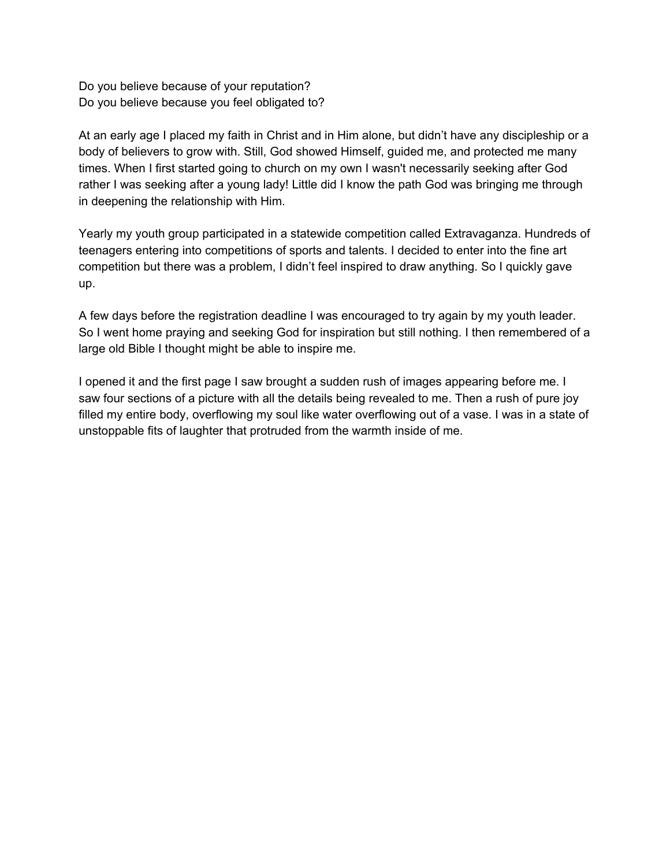Do you believe because of your reputation? Do you believe because you feel obligated to?

At an early age I placed my faith in Christ and in Him alone, but didn't have any discipleship or a body of believers to grow with. Still, God showed Himself, guided me, and protected me many times. When I first started going to church on my own I wasn't necessarily seeking after God rather I was seeking after a young lady! Little did I know the path God was bringing me through in deepening the relationship with Him.

Yearly my youth group participated in a statewide competition called Extravaganza. Hundreds of teenagers entering into competitions of sports and talents. I decided to enter into the fine art competition but there was a problem, I didn't feel inspired to draw anything. So I quickly gave up.

A few days before the registration deadline I was encouraged to try again by my youth leader. So I went home praying and seeking God for inspiration but still nothing. I then remembered of a large old Bible I thought might be able to inspire me.

I opened it and the first page I saw brought a sudden rush of images appearing before me. I saw four sections of a picture with all the details being revealed to me. Then a rush of pure joy filled my entire body, overflowing my soul like water overflowing out of a vase. I was in a state of unstoppable fits of laughter that protruded from the warmth inside of me.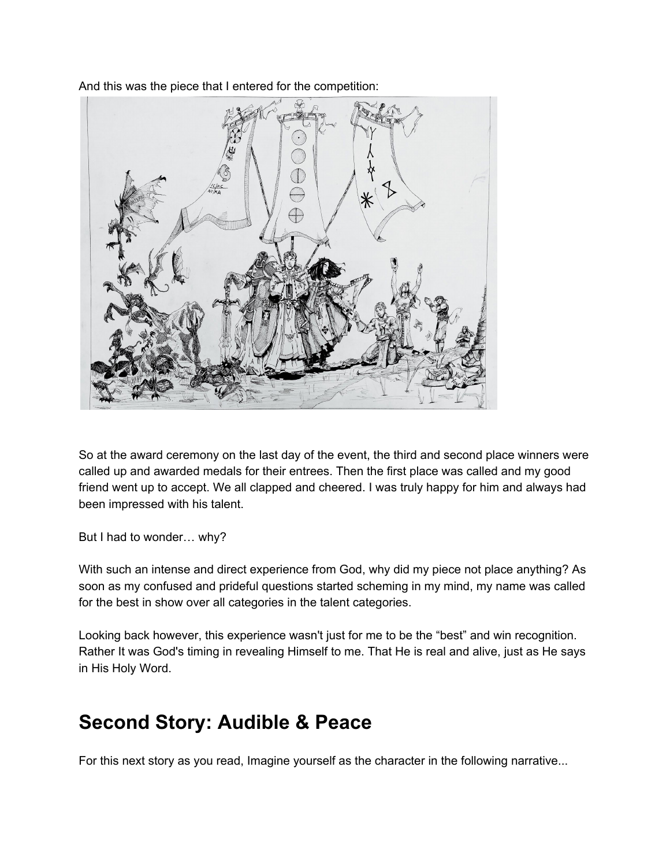And this was the piece that I entered for the competition:



So at the award ceremony on the last day of the event, the third and second place winners were called up and awarded medals for their entrees. Then the first place was called and my good friend went up to accept. We all clapped and cheered. I was truly happy for him and always had been impressed with his talent.

But I had to wonder… why?

With such an intense and direct experience from God, why did my piece not place anything? As soon as my confused and prideful questions started scheming in my mind, my name was called for the best in show over all categories in the talent categories.

Looking back however, this experience wasn't just for me to be the "best" and win recognition. Rather It was God's timing in revealing Himself to me. That He is real and alive, just as He says in His Holy Word.

## **Second Story: Audible & Peace**

For this next story as you read, Imagine yourself as the character in the following narrative...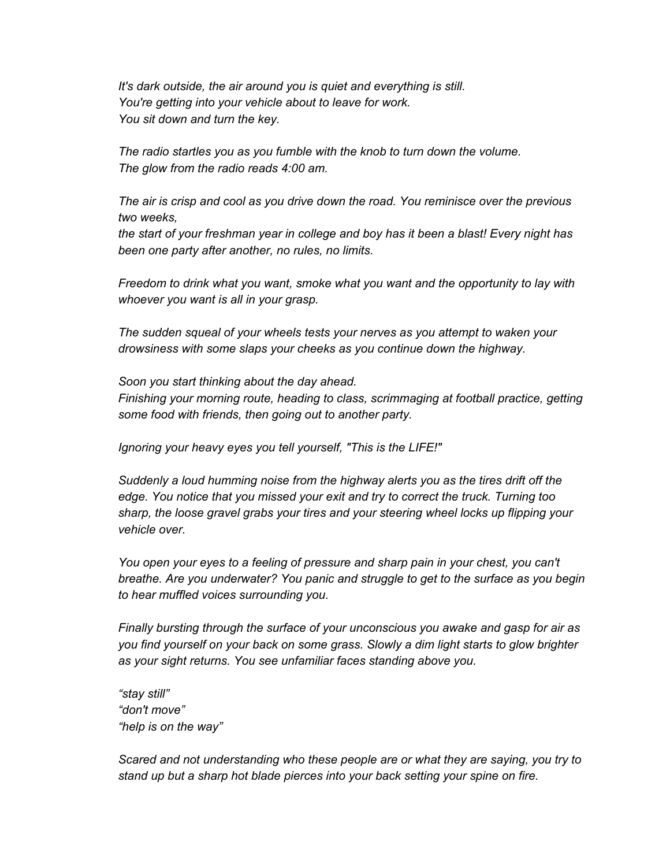*It's dark outside, the air around you is quiet and everything is still. You're getting into your vehicle about to leave for work. You sit down and turn the key.*

*The radio startles you as you fumble with the knob to turn down the volume. The glow from the radio reads 4:00 am.*

*The air is crisp and cool as you drive down the road. You reminisce over the previous two weeks,*

*the start of your freshman year in college and boy has it been a blast! Every night has been one party after another, no rules, no limits.*

*Freedom to drink what you want, smoke what you want and the opportunity to lay with whoever you want is all in your grasp.*

*The sudden squeal of your wheels tests your nerves as you attempt to waken your drowsiness with some slaps your cheeks as you continue down the highway.*

*Soon you start thinking about the day ahead. Finishing your morning route, heading to class, scrimmaging at football practice, getting some food with friends, then going out to another party.*

*Ignoring your heavy eyes you tell yourself, "This is the LIFE!"*

*Suddenly a loud humming noise from the highway alerts you as the tires drift off the edge. You notice that you missed your exit and try to correct the truck. Turning too sharp, the loose gravel grabs your tires and your steering wheel locks up flipping your vehicle over.*

*You open your eyes to a feeling of pressure and sharp pain in your chest, you can't breathe. Are you underwater? You panic and struggle to get to the surface as you begin to hear muffled voices surrounding you.*

*Finally bursting through the surface of your unconscious you awake and gasp for air as you find yourself on your back on some grass. Slowly a dim light starts to glow brighter as your sight returns. You see unfamiliar faces standing above you.*

*"stay still" "don't move" "help is on the way"*

*Scared and not understanding who these people are or what they are saying, you try to stand up but a sharp hot blade pierces into your back setting your spine on fire.*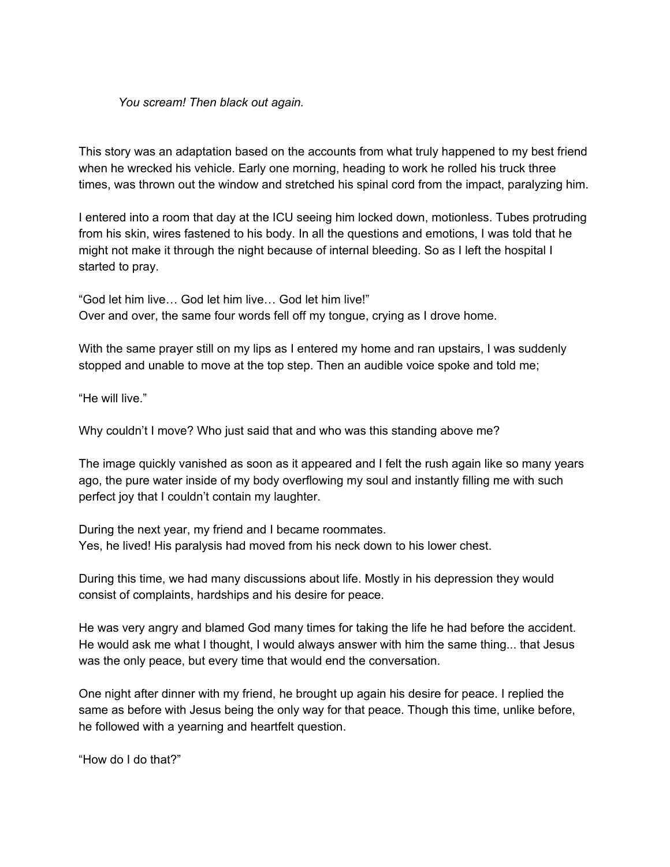## *You scream! Then black out again.*

This story was an adaptation based on the accounts from what truly happened to my best friend when he wrecked his vehicle. Early one morning, heading to work he rolled his truck three times, was thrown out the window and stretched his spinal cord from the impact, paralyzing him.

I entered into a room that day at the ICU seeing him locked down, motionless. Tubes protruding from his skin, wires fastened to his body. In all the questions and emotions, I was told that he might not make it through the night because of internal bleeding. So as I left the hospital I started to pray.

"God let him live… God let him live… God let him live!" Over and over, the same four words fell off my tongue, crying as I drove home.

With the same prayer still on my lips as I entered my home and ran upstairs, I was suddenly stopped and unable to move at the top step. Then an audible voice spoke and told me;

"He will live."

Why couldn't I move? Who just said that and who was this standing above me?

The image quickly vanished as soon as it appeared and I felt the rush again like so many years ago, the pure water inside of my body overflowing my soul and instantly filling me with such perfect joy that I couldn't contain my laughter.

During the next year, my friend and I became roommates. Yes, he lived! His paralysis had moved from his neck down to his lower chest.

During this time, we had many discussions about life. Mostly in his depression they would consist of complaints, hardships and his desire for peace.

He was very angry and blamed God many times for taking the life he had before the accident. He would ask me what I thought, I would always answer with him the same thing... that Jesus was the only peace, but every time that would end the conversation.

One night after dinner with my friend, he brought up again his desire for peace. I replied the same as before with Jesus being the only way for that peace. Though this time, unlike before, he followed with a yearning and heartfelt question.

"How do I do that?"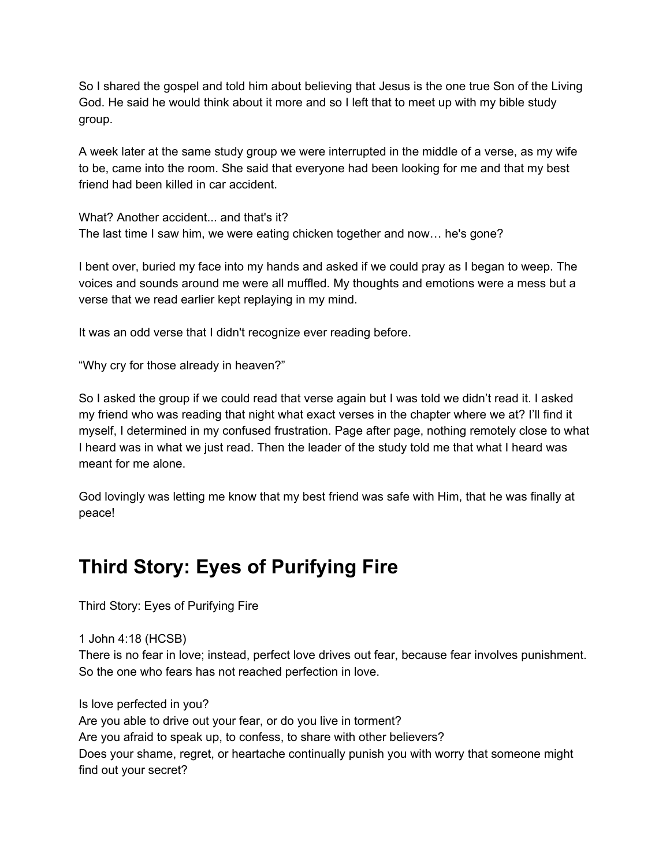So I shared the gospel and told him about believing that Jesus is the one true Son of the Living God. He said he would think about it more and so I left that to meet up with my bible study group.

A week later at the same study group we were interrupted in the middle of a verse, as my wife to be, came into the room. She said that everyone had been looking for me and that my best friend had been killed in car accident.

What? Another accident... and that's it? The last time I saw him, we were eating chicken together and now… he's gone?

I bent over, buried my face into my hands and asked if we could pray as I began to weep. The voices and sounds around me were all muffled. My thoughts and emotions were a mess but a verse that we read earlier kept replaying in my mind.

It was an odd verse that I didn't recognize ever reading before.

"Why cry for those already in heaven?"

So I asked the group if we could read that verse again but I was told we didn't read it. I asked my friend who was reading that night what exact verses in the chapter where we at? I'll find it myself, I determined in my confused frustration. Page after page, nothing remotely close to what I heard was in what we just read. Then the leader of the study told me that what I heard was meant for me alone.

God lovingly was letting me know that my best friend was safe with Him, that he was finally at peace!

## **Third Story: Eyes of Purifying Fire**

Third Story: Eyes of Purifying Fire

1 John 4:18 (HCSB)

There is no fear in love; instead, perfect love drives out fear, because fear involves punishment. So the one who fears has not reached perfection in love.

Is love perfected in you? Are you able to drive out your fear, or do you live in torment? Are you afraid to speak up, to confess, to share with other believers? Does your shame, regret, or heartache continually punish you with worry that someone might find out your secret?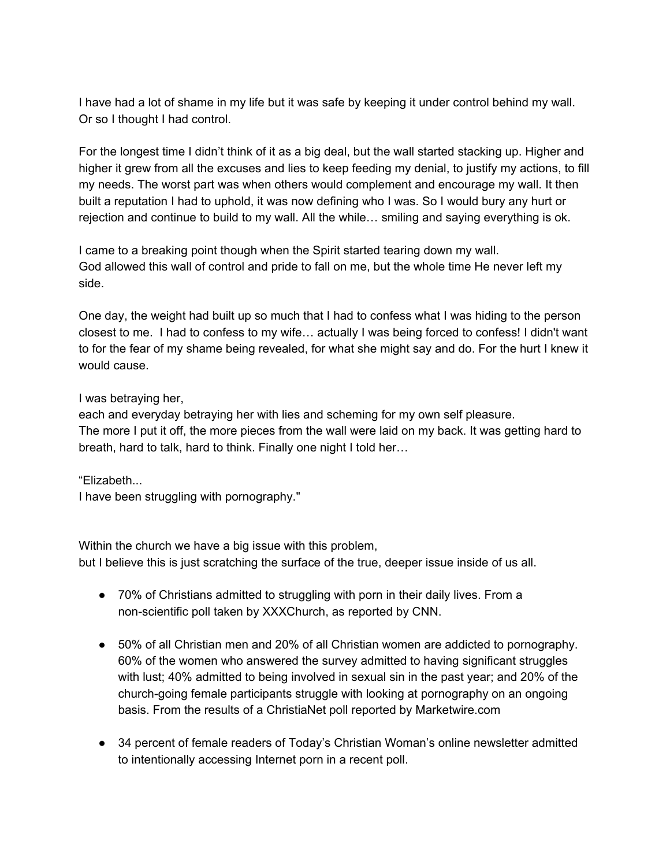I have had a lot of shame in my life but it was safe by keeping it under control behind my wall. Or so I thought I had control.

For the longest time I didn't think of it as a big deal, but the wall started stacking up. Higher and higher it grew from all the excuses and lies to keep feeding my denial, to justify my actions, to fill my needs. The worst part was when others would complement and encourage my wall. It then built a reputation I had to uphold, it was now defining who I was. So I would bury any hurt or rejection and continue to build to my wall. All the while… smiling and saying everything is ok.

I came to a breaking point though when the Spirit started tearing down my wall. God allowed this wall of control and pride to fall on me, but the whole time He never left my side.

One day, the weight had built up so much that I had to confess what I was hiding to the person closest to me. I had to confess to my wife… actually I was being forced to confess! I didn't want to for the fear of my shame being revealed, for what she might say and do. For the hurt I knew it would cause.

## I was betraying her,

each and everyday betraying her with lies and scheming for my own self pleasure. The more I put it off, the more pieces from the wall were laid on my back. It was getting hard to breath, hard to talk, hard to think. Finally one night I told her…

"Elizabeth...

I have been struggling with pornography."

Within the church we have a big issue with this problem, but I believe this is just scratching the surface of the true, deeper issue inside of us all.

- 70% of Christians admitted to struggling with porn in their daily lives. From a non-scientific poll taken by XXXChurch, as reported by CNN.
- 50% of all Christian men and 20% of all Christian women are addicted to pornography. 60% of the women who answered the survey admitted to having significant struggles with lust; 40% admitted to being involved in sexual sin in the past year; and 20% of the church-going female participants struggle with looking at pornography on an ongoing basis. From the results of a ChristiaNet poll reported by Marketwire.com
- 34 percent of female readers of Today's Christian Woman's online newsletter admitted to intentionally accessing Internet porn in a recent poll.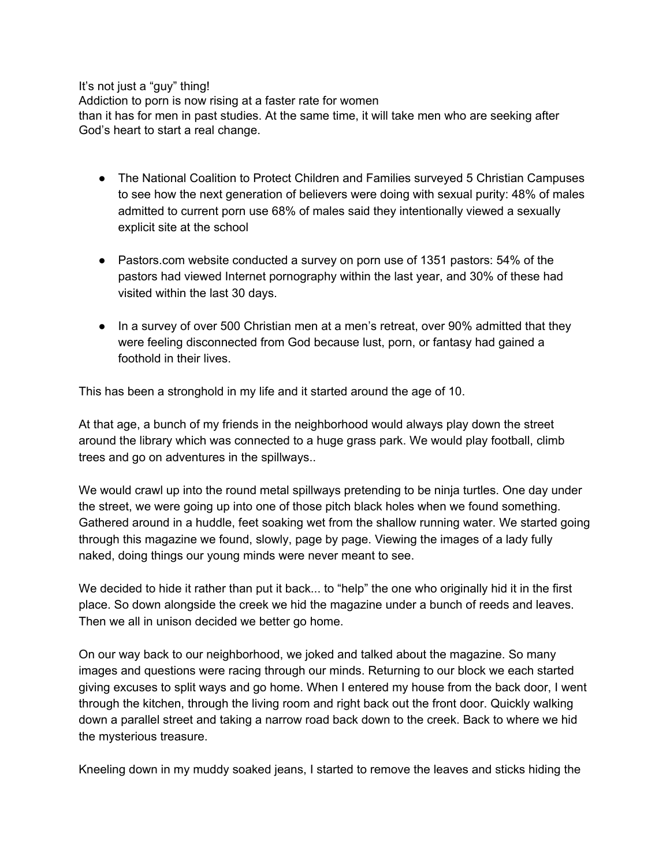It's not just a "guy" thing!

Addiction to porn is now rising at a faster rate for women than it has for men in past studies. At the same time, it will take men who are seeking after God's heart to start a real change.

- The National Coalition to Protect Children and Families surveyed 5 Christian Campuses to see how the next generation of believers were doing with sexual purity: 48% of males admitted to current porn use 68% of males said they intentionally viewed a sexually explicit site at the school
- Pastors.com website conducted a survey on porn use of 1351 pastors: 54% of the pastors had viewed Internet pornography within the last year, and 30% of these had visited within the last 30 days.
- In a survey of over 500 Christian men at a men's retreat, over 90% admitted that they were feeling disconnected from God because lust, porn, or fantasy had gained a foothold in their lives.

This has been a stronghold in my life and it started around the age of 10.

At that age, a bunch of my friends in the neighborhood would always play down the street around the library which was connected to a huge grass park. We would play football, climb trees and go on adventures in the spillways..

We would crawl up into the round metal spillways pretending to be ninja turtles. One day under the street, we were going up into one of those pitch black holes when we found something. Gathered around in a huddle, feet soaking wet from the shallow running water. We started going through this magazine we found, slowly, page by page. Viewing the images of a lady fully naked, doing things our young minds were never meant to see.

We decided to hide it rather than put it back... to "help" the one who originally hid it in the first place. So down alongside the creek we hid the magazine under a bunch of reeds and leaves. Then we all in unison decided we better go home.

On our way back to our neighborhood, we joked and talked about the magazine. So many images and questions were racing through our minds. Returning to our block we each started giving excuses to split ways and go home. When I entered my house from the back door, I went through the kitchen, through the living room and right back out the front door. Quickly walking down a parallel street and taking a narrow road back down to the creek. Back to where we hid the mysterious treasure.

Kneeling down in my muddy soaked jeans, I started to remove the leaves and sticks hiding the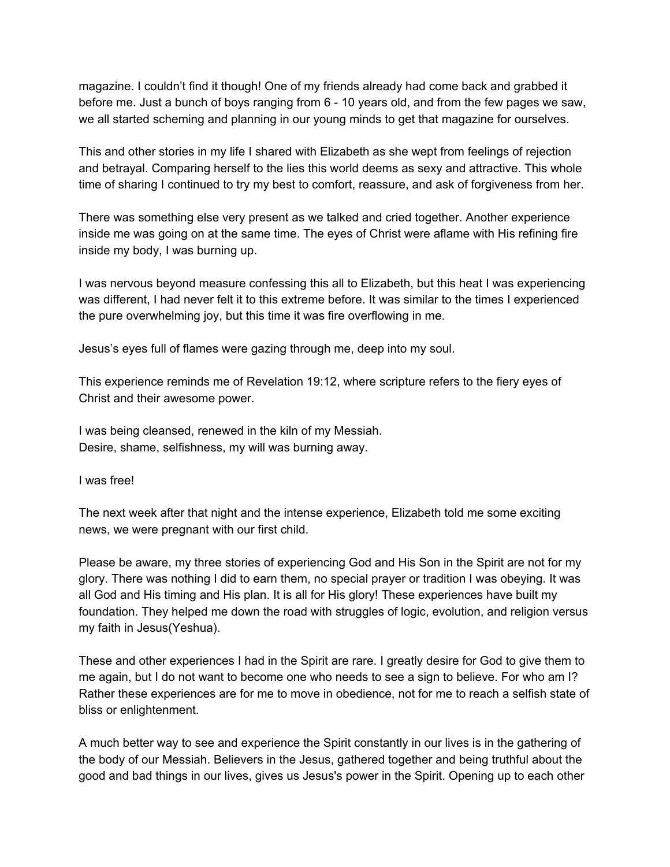magazine. I couldn't find it though! One of my friends already had come back and grabbed it before me. Just a bunch of boys ranging from 6 - 10 years old, and from the few pages we saw, we all started scheming and planning in our young minds to get that magazine for ourselves.

This and other stories in my life I shared with Elizabeth as she wept from feelings of rejection and betrayal. Comparing herself to the lies this world deems as sexy and attractive. This whole time of sharing I continued to try my best to comfort, reassure, and ask of forgiveness from her.

There was something else very present as we talked and cried together. Another experience inside me was going on at the same time. The eyes of Christ were aflame with His refining fire inside my body, I was burning up.

I was nervous beyond measure confessing this all to Elizabeth, but this heat I was experiencing was different, I had never felt it to this extreme before. It was similar to the times I experienced the pure overwhelming joy, but this time it was fire overflowing in me.

Jesus's eyes full of flames were gazing through me, deep into my soul.

This experience reminds me of Revelation 19:12, where scripture refers to the fiery eyes of Christ and their awesome power.

I was being cleansed, renewed in the kiln of my Messiah. Desire, shame, selfishness, my will was burning away.

I was free!

The next week after that night and the intense experience, Elizabeth told me some exciting news, we were pregnant with our first child.

Please be aware, my three stories of experiencing God and His Son in the Spirit are not for my glory. There was nothing I did to earn them, no special prayer or tradition I was obeying. It was all God and His timing and His plan. It is all for His glory! These experiences have built my foundation. They helped me down the road with struggles of logic, evolution, and religion versus my faith in Jesus(Yeshua).

These and other experiences I had in the Spirit are rare. I greatly desire for God to give them to me again, but I do not want to become one who needs to see a sign to believe. For who am I? Rather these experiences are for me to move in obedience, not for me to reach a selfish state of bliss or enlightenment.

A much better way to see and experience the Spirit constantly in our lives is in the gathering of the body of our Messiah. Believers in the Jesus, gathered together and being truthful about the good and bad things in our lives, gives us Jesus's power in the Spirit. Opening up to each other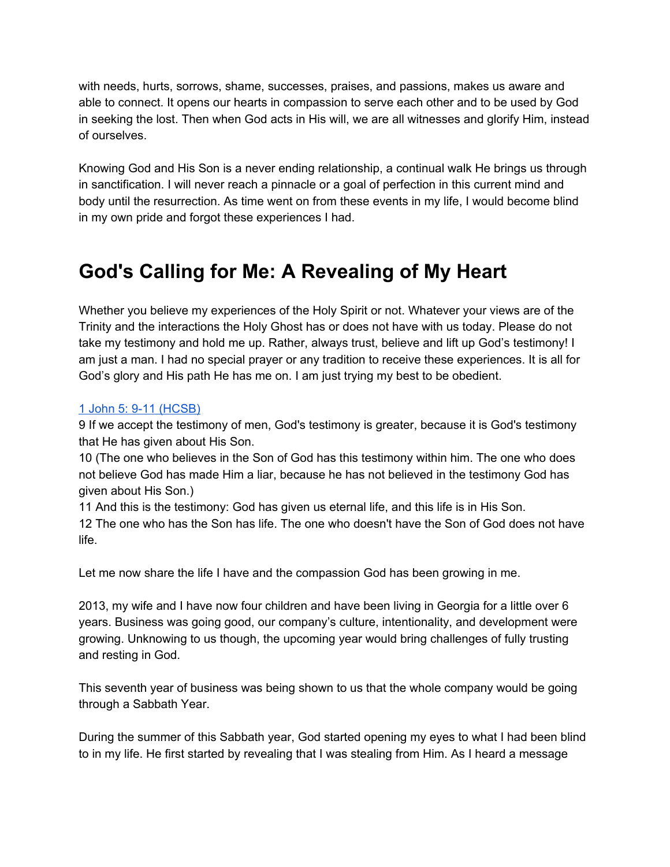with needs, hurts, sorrows, shame, successes, praises, and passions, makes us aware and able to connect. It opens our hearts in compassion to serve each other and to be used by God in seeking the lost. Then when God acts in His will, we are all witnesses and glorify Him, instead of ourselves.

Knowing God and His Son is a never ending relationship, a continual walk He brings us through in sanctification. I will never reach a pinnacle or a goal of perfection in this current mind and body until the resurrection. As time went on from these events in my life, I would become blind in my own pride and forgot these experiences I had.

# **God's Calling for Me: A Revealing of My Heart**

Whether you believe my experiences of the Holy Spirit or not. Whatever your views are of the Trinity and the interactions the Holy Ghost has or does not have with us today. Please do not take my testimony and hold me up. Rather, always trust, believe and lift up God's testimony! I am just a man. I had no special prayer or any tradition to receive these experiences. It is all for God's glory and His path He has me on. I am just trying my best to be obedient.

## 1 John 5: 9-11 [\(HCSB\)](https://www.blueletterbible.org/hcsb/1jo/5/9/s_1164009)

9 If we accept the testimony of men, God's testimony is greater, because it is God's testimony that He has given about His Son.

10 (The one who believes in the Son of God has this testimony within him. The one who does not believe God has made Him a liar, because he has not believed in the testimony God has given about His Son.)

11 And this is the testimony: God has given us eternal life, and this life is in His Son.

12 The one who has the Son has life. The one who doesn't have the Son of God does not have life.

Let me now share the life I have and the compassion God has been growing in me.

2013, my wife and I have now four children and have been living in Georgia for a little over 6 years. Business was going good, our company's culture, intentionality, and development were growing. Unknowing to us though, the upcoming year would bring challenges of fully trusting and resting in God.

This seventh year of business was being shown to us that the whole company would be going through a Sabbath Year.

During the summer of this Sabbath year, God started opening my eyes to what I had been blind to in my life. He first started by revealing that I was stealing from Him. As I heard a message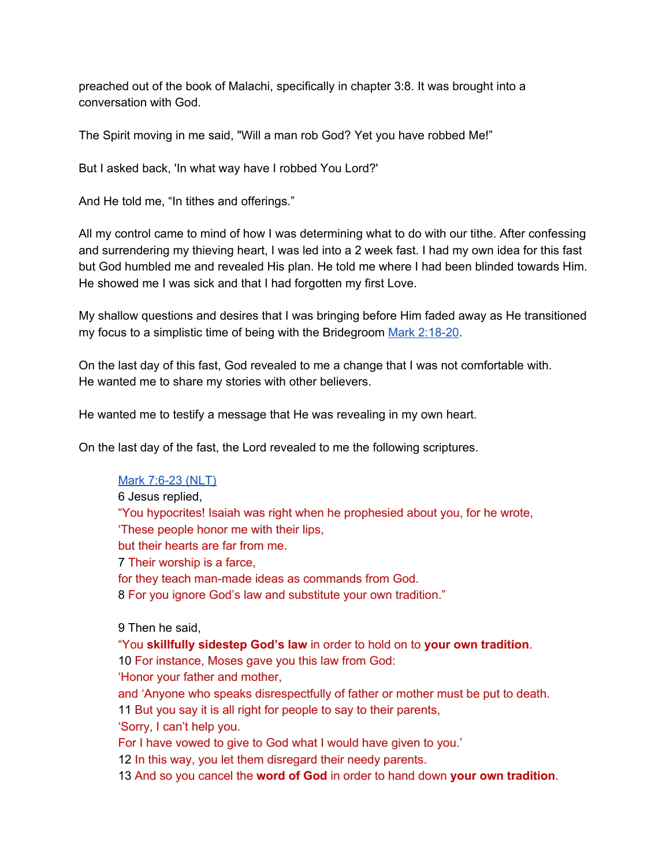preached out of the book of Malachi, specifically in chapter 3:8. It was brought into a conversation with God.

The Spirit moving in me said, "Will a man rob God? Yet you have robbed Me!"

But I asked back, 'In what way have I robbed You Lord?'

And He told me, "In tithes and offerings."

All my control came to mind of how I was determining what to do with our tithe. After confessing and surrendering my thieving heart, I was led into a 2 week fast. I had my own idea for this fast but God humbled me and revealed His plan. He told me where I had been blinded towards Him. He showed me I was sick and that I had forgotten my first Love.

My shallow questions and desires that I was bringing before Him faded away as He transitioned my focus to a simplistic time of being with the Bridegroom Mark [2:18-20.](https://www.blueletterbible.org/hcsb/mar/2/18/s_959018)

On the last day of this fast, God revealed to me a change that I was not comfortable with. He wanted me to share my stories with other believers.

He wanted me to testify a message that He was revealing in my own heart.

On the last day of the fast, the Lord revealed to me the following scriptures.

## Mark [7:6-23](https://www.blueletterbible.org/nlt/mar/7/6/s_964006) (NLT)

6 Jesus replied, "You hypocrites! Isaiah was right when he prophesied about you, for he wrote, 'These people honor me with their lips, but their hearts are far from me. 7 Their worship is a farce, for they teach man-made ideas as commands from God. 8 For you ignore God's law and substitute your own tradition."

9 Then he said,

"You **skillfully sidestep God's law** in order to hold on to **your own tradition**. 10 For instance, Moses gave you this law from God:

'Honor your father and mother,

and 'Anyone who speaks disrespectfully of father or mother must be put to death.

11 But you say it is all right for people to say to their parents,

'Sorry, I can't help you.

For I have vowed to give to God what I would have given to you.'

12 In this way, you let them disregard their needy parents.

13 And so you cancel the **word of God** in order to hand down **your own tradition**.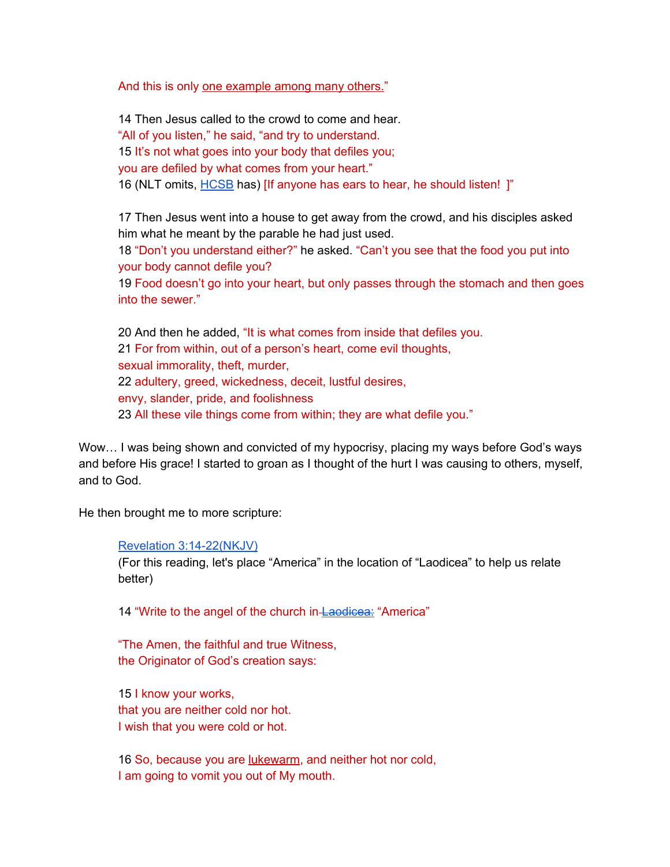And this is only one example among many others."

14 Then Jesus called to the crowd to come and hear. "All of you listen," he said, "and try to understand. 15 It's not what goes into your body that defiles you; you are defiled by what comes from your heart." 16 (NLT omits, **[HCSB](https://www.blueletterbible.org/hcsb/mar/7/16/s_964016)** has) [If anyone has ears to hear, he should listen! ]"

17 Then Jesus went into a house to get away from the crowd, and his disciples asked him what he meant by the parable he had just used.

18 "Don't you understand either?" he asked. "Can't you see that the food you put into your body cannot defile you?

19 Food doesn't go into your heart, but only passes through the stomach and then goes into the sewer."

 And then he added, "It is what comes from inside that defiles you. For from within, out of a person's heart, come evil thoughts, sexual immorality, theft, murder, adultery, greed, wickedness, deceit, lustful desires, envy, slander, pride, and foolishness All these vile things come from within; they are what defile you."

Wow… I was being shown and convicted of my hypocrisy, placing my ways before God's ways and before His grace! I started to groan as I thought of the hurt I was causing to others, myself, and to God.

He then brought me to more scripture:

#### Revelation [3:14-22\(NKJV\)](https://www.blueletterbible.org/nkjv/rev/3/14/s_1170014)

(For this reading, let's place "America" in the location of "Laodicea" to help us relate better)

14 "Write to the angel of the church in-[Laodicea:](https://en.wikipedia.org/wiki/Laodicea_on_the_Lycus#History) "America"

"The Amen, the faithful and true Witness, the Originator of God's creation says:

15 I know your works, that you are neither cold nor hot. I wish that you were cold or hot.

16 So, because you are lukewarm, and neither hot nor cold, I am going to vomit you out of My mouth.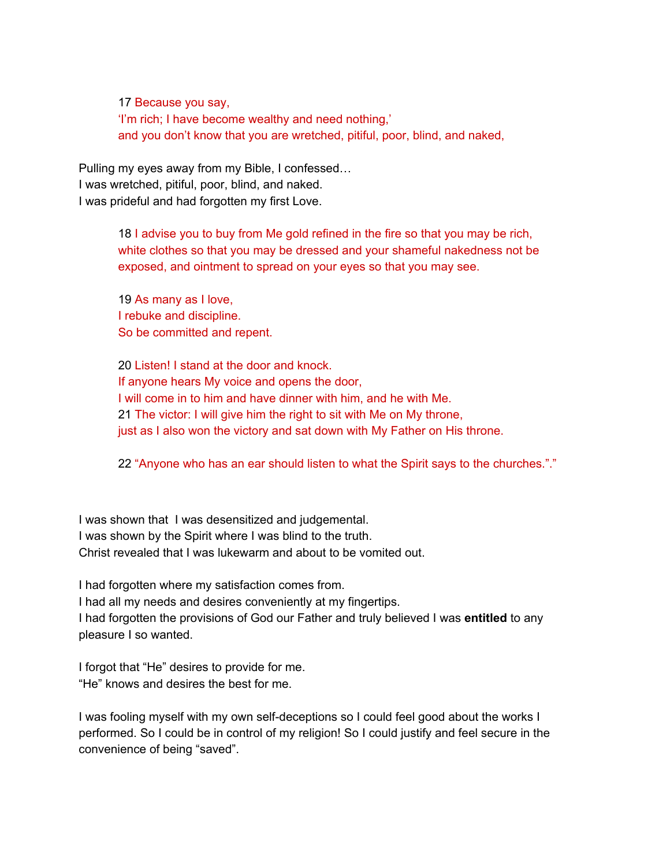17 Because you say, 'I'm rich; I have become wealthy and need nothing,' and you don't know that you are wretched, pitiful, poor, blind, and naked,

Pulling my eyes away from my Bible, I confessed… I was wretched, pitiful, poor, blind, and naked. I was prideful and had forgotten my first Love.

> 18 I advise you to buy from Me gold refined in the fire so that you may be rich, white clothes so that you may be dressed and your shameful nakedness not be exposed, and ointment to spread on your eyes so that you may see.

19 As many as I love, I rebuke and discipline. So be committed and repent.

20 Listen! I stand at the door and knock. If anyone hears My voice and opens the door, I will come in to him and have dinner with him, and he with Me. 21 The victor: I will give him the right to sit with Me on My throne, just as I also won the victory and sat down with My Father on His throne.

22 "Anyone who has an ear should listen to what the Spirit says to the churches."."

I was shown that I was desensitized and judgemental. I was shown by the Spirit where I was blind to the truth. Christ revealed that I was lukewarm and about to be vomited out.

I had forgotten where my satisfaction comes from.

I had all my needs and desires conveniently at my fingertips.

I had forgotten the provisions of God our Father and truly believed I was **entitled** to any pleasure I so wanted.

I forgot that "He" desires to provide for me. "He" knows and desires the best for me.

I was fooling myself with my own self-deceptions so I could feel good about the works I performed. So I could be in control of my religion! So I could justify and feel secure in the convenience of being "saved".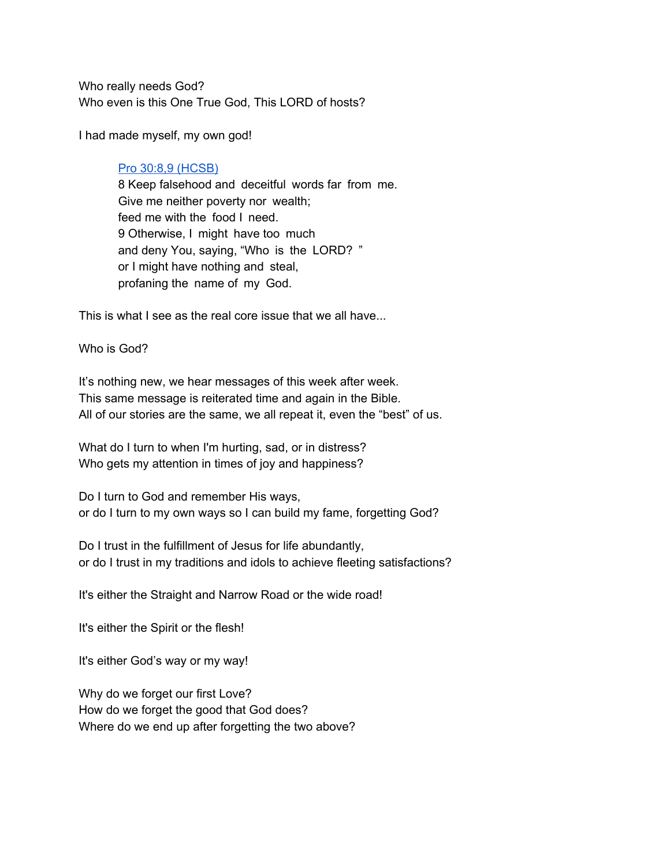Who really needs God? Who even is this One True God, This LORD of hosts?

I had made myself, my own god!

## Pro 30:8,9 [\(HCSB\)](https://www.blueletterbible.org/hcsb/pro/30/8/s_658008)

8 Keep falsehood and deceitful words far from me. Give me neither poverty nor wealth; feed me with the food I need. 9 Otherwise, I might have too much and deny You, saying, "Who is the LORD? " or I might have nothing and steal, profaning the name of my God.

This is what I see as the real core issue that we all have...

Who is God?

It's nothing new, we hear messages of this week after week. This same message is reiterated time and again in the Bible. All of our stories are the same, we all repeat it, even the "best" of us.

What do I turn to when I'm hurting, sad, or in distress? Who gets my attention in times of joy and happiness?

Do I turn to God and remember His ways, or do I turn to my own ways so I can build my fame, forgetting God?

Do I trust in the fulfillment of Jesus for life abundantly, or do I trust in my traditions and idols to achieve fleeting satisfactions?

It's either the Straight and Narrow Road or the wide road!

It's either the Spirit or the flesh!

It's either God's way or my way!

Why do we forget our first Love? How do we forget the good that God does? Where do we end up after forgetting the two above?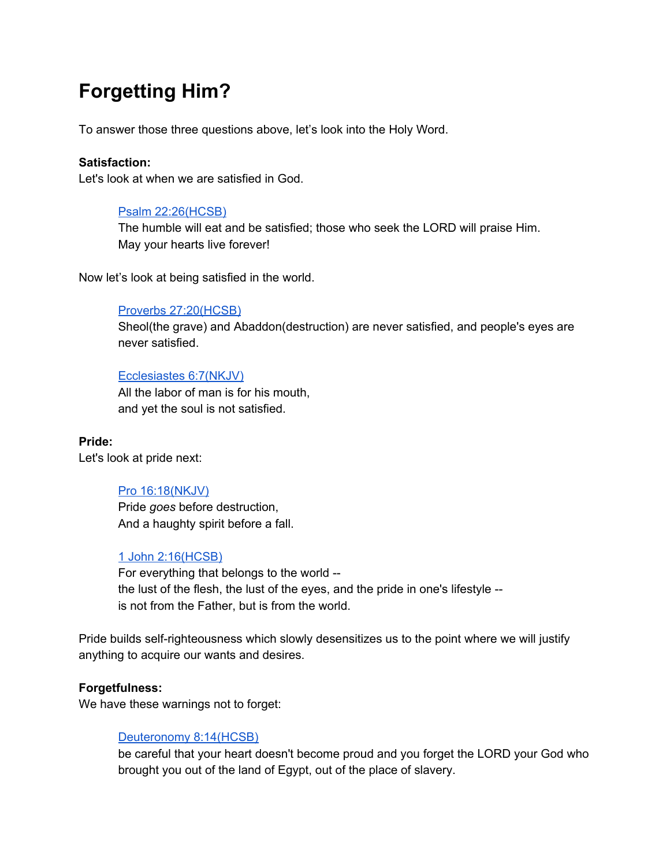# **Forgetting Him?**

To answer those three questions above, let's look into the Holy Word.

## **Satisfaction:**

Let's look at when we are satisfied in God.

## Psalm [22:26\(HCSB\)](https://www.blueletterbible.org/hcsb/psa/22/26/s_500026)

The humble will eat and be satisfied; those who seek the LORD will praise Him. May your hearts live forever!

Now let's look at being satisfied in the world.

#### Proverbs [27:20\(HCSB\)](https://www.blueletterbible.org/nkjv/pro/27/20/s_655020)

Sheol(the grave) and Abaddon(destruction) are never satisfied, and people's eyes are never satisfied.

#### [Ecclesiastes](https://www.blueletterbible.org/nkjv/ecc/6/7/s_665007) 6:7(NKJV)

All the labor of man is for his mouth, and yet the soul is not satisfied.

**Pride:** Let's look at pride next:

## Pro [16:18\(NKJV\)](https://www.blueletterbible.org/nkjv/pro/16/18/s_644018)

Pride *goes* before destruction, And a haughty spirit before a fall.

## 1 John [2:16\(HCSB\)](https://www.blueletterbible.org/hcsb/1jo/2/16/s_1161016)

For everything that belongs to the world - the lust of the flesh, the lust of the eyes, and the pride in one's lifestyle - is not from the Father, but is from the world.

Pride builds self-righteousness which slowly desensitizes us to the point where we will justify anything to acquire our wants and desires.

#### **Forgetfulness:**

We have these warnings not to forget:

#### [Deuteronomy](https://www.blueletterbible.org/hcsb/deu/8/14/s_161014) 8:14(HCSB)

be careful that your heart doesn't become proud and you forget the LORD your God who brought you out of the land of Egypt, out of the place of slavery.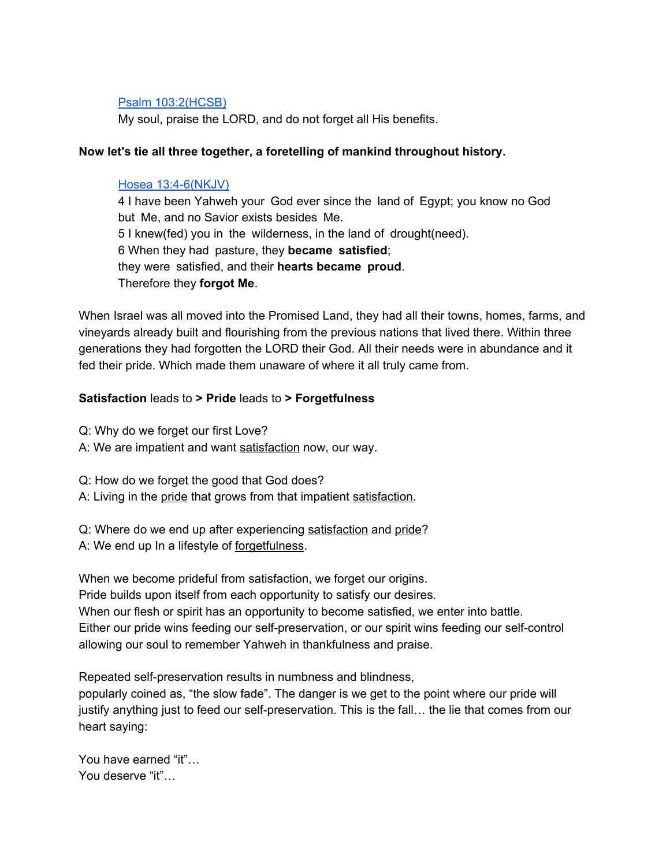#### Psalm [103:2\(HCSB\)](https://www.blueletterbible.org/hcsb/psa/103/2/s_581002)

My soul, praise the LORD, and do not forget all His benefits.

## **Now let's tie all three together, a foretelling of mankind throughout history.**

#### Hosea [13:4-6\(NKJV\)](https://www.blueletterbible.org/nkjv/hos/13/4/s_875004)

4 I have been Yahweh your God ever since the land of Egypt; you know no God but Me, and no Savior exists besides Me. 5 I knew(fed) you in the wilderness, in the land of drought(need). 6 When they had pasture, they **became satisfied**; they were satisfied, and their **hearts became proud**. Therefore they **forgot Me**.

When Israel was all moved into the Promised Land, they had all their towns, homes, farms, and vineyards already built and flourishing from the previous nations that lived there. Within three generations they had forgotten the LORD their God. All their needs were in abundance and it fed their pride. Which made them unaware of where it all truly came from.

#### **Satisfaction** leads to **> Pride** leads to **> Forgetfulness**

Q: Why do we forget our first Love?

A: We are impatient and want satisfaction now, our way.

Q: How do we forget the good that God does?

A: Living in the pride that grows from that impatient satisfaction.

Q: Where do we end up after experiencing satisfaction and pride? A: We end up In a lifestyle of forgetfulness.

When we become prideful from satisfaction, we forget our origins. Pride builds upon itself from each opportunity to satisfy our desires. When our flesh or spirit has an opportunity to become satisfied, we enter into battle. Either our pride wins feeding our self-preservation, or our spirit wins feeding our self-control allowing our soul to remember Yahweh in thankfulness and praise.

Repeated self-preservation results in numbness and blindness, popularly coined as, "the slow fade". The danger is we get to the point where our pride will

justify anything just to feed our self-preservation. This is the fall… the lie that comes from our heart saying:

You have earned "it"… You deserve "it"…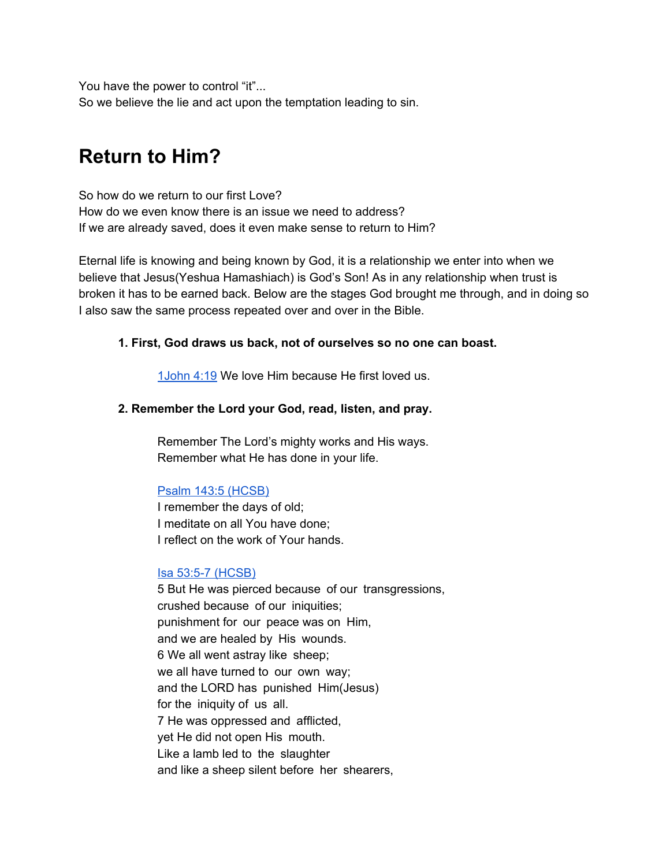You have the power to control "it"... So we believe the lie and act upon the temptation leading to sin.

## **Return to Him?**

So how do we return to our first Love? How do we even know there is an issue we need to address? If we are already saved, does it even make sense to return to Him?

Eternal life is knowing and being known by God, it is a relationship we enter into when we believe that Jesus(Yeshua Hamashiach) is God's Son! As in any relationship when trust is broken it has to be earned back. Below are the stages God brought me through, and in doing so I also saw the same process repeated over and over in the Bible.

## **1. First, God draws us back, not of ourselves so no one can boast.**

[1John](https://www.blueletterbible.org/nkjv/1jo/4/19/s_1163019) 4:19 We love Him because He first loved us.

## **2. Remember the Lord your God, read, listen, and pray.**

Remember The Lord's mighty works and His ways. Remember what He has done in your life.

## Psalm 143:5 [\(HCSB\)](https://www.blueletterbible.org/hcsb/psa/143/5/s_621005)

I remember the days of old; I meditate on all You have done; I reflect on the work of Your hands.

#### Isa 53:5-7 [\(HCSB\)](https://www.blueletterbible.org/hcsb/isa/53/5/s_732005)

5 But He was pierced because of our transgressions, crushed because of our iniquities; punishment for our peace was on Him, and we are healed by His wounds. 6 We all went astray like sheep; we all have turned to our own way; and the LORD has punished Him(Jesus) for the iniquity of us all. 7 He was oppressed and afflicted, yet He did not open His mouth. Like a lamb led to the slaughter and like a sheep silent before her shearers,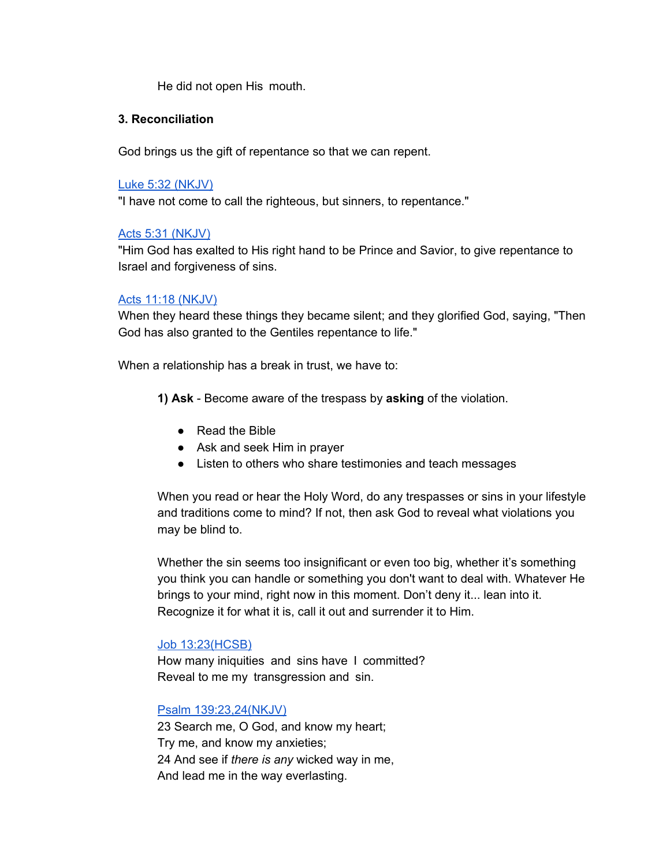He did not open His mouth.

### **3. Reconciliation**

God brings us the gift of repentance so that we can repent.

#### Luke 5:32 [\(NKJV\)](https://www.blueletterbible.org/nkjv/luk/5/32/s_978032)

"I have not come to call the righteous, but sinners, to repentance."

## Acts 5:31 [\(NKJV\)](https://www.blueletterbible.org/nkjv/act/5/31/s_1023031)

"Him God has exalted to His right hand to be Prince and Savior, to give repentance to Israel and forgiveness of sins.

#### Acts 11:18 [\(NKJV\)](https://www.blueletterbible.org/nkjv/act/11/18/s_1029018)

When they heard these things they became silent; and they glorified God, saying, "Then God has also granted to the Gentiles repentance to life."

When a relationship has a break in trust, we have to:

**1) Ask** - Become aware of the trespass by **asking** of the violation.

- Read the Bible
- Ask and seek Him in prayer
- Listen to others who share testimonies and teach messages

When you read or hear the Holy Word, do any trespasses or sins in your lifestyle and traditions come to mind? If not, then ask God to reveal what violations you may be blind to.

Whether the sin seems too insignificant or even too big, whether it's something you think you can handle or something you don't want to deal with. Whatever He brings to your mind, right now in this moment. Don't deny it... lean into it. Recognize it for what it is, call it out and surrender it to Him.

#### Job [13:23\(HCSB\)](https://www.blueletterbible.org/hcsb/job/13/23/s_449023)

How many iniquities and sins have I committed? Reveal to me my transgression and sin.

#### Psalm [139:23,24\(NKJV\)](https://www.blueletterbible.org/nkjv/psa/139/23/s_617024)

23 Search me, O God, and know my heart; Try me, and know my anxieties; 24 And see if *there is any* wicked way in me, And lead me in the way everlasting.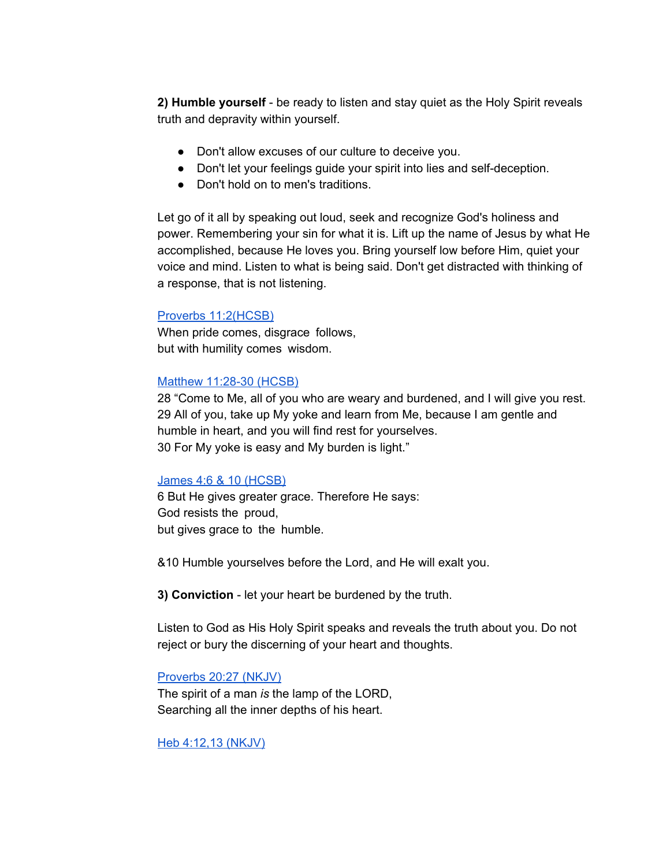**2) Humble yourself** - be ready to listen and stay quiet as the Holy Spirit reveals truth and depravity within yourself.

- Don't allow excuses of our culture to deceive you.
- Don't let your feelings guide your spirit into lies and self-deception.
- Don't hold on to men's traditions.

Let go of it all by speaking out loud, seek and recognize God's holiness and power. Remembering your sin for what it is. Lift up the name of Jesus by what He accomplished, because He loves you. Bring yourself low before Him, quiet your voice and mind. Listen to what is being said. Don't get distracted with thinking of a response, that is not listening.

#### Proverbs [11:2\(HCSB\)](https://www.blueletterbible.org/hcsb/pro/11/2/s_639002)

When pride comes, disgrace follows, but with humility comes wisdom.

#### Matthew [11:28-30](https://www.blueletterbible.org/hcsb/mat/11/29/s_940029) (HCSB)

 "Come to Me, all of you who are weary and burdened, and I will give you rest. All of you, take up My yoke and learn from Me, because I am gentle and humble in heart, and you will find rest for yourselves. For My yoke is easy and My burden is light."

#### James 4:6 & 10 [\(HCSB\)](https://www.blueletterbible.org/hcsb/jas/4/6/s_1150006)

6 But He gives greater grace. Therefore He says: God resists the proud, but gives grace to the humble.

&10 Humble yourselves before the Lord, and He will exalt you.

**3) Conviction** - let your heart be burdened by the truth.

Listen to God as His Holy Spirit speaks and reveals the truth about you. Do not reject or bury the discerning of your heart and thoughts.

#### [Proverbs](https://www.blueletterbible.org/nkjv/pro/20/27/s_648027) 20:27 (NKJV)

The spirit of a man *is* the lamp of the LORD, Searching all the inner depths of his heart.

Heb [4:12,13](https://www.blueletterbible.org/nkjv/heb/4/12/s_1137012) (NKJV)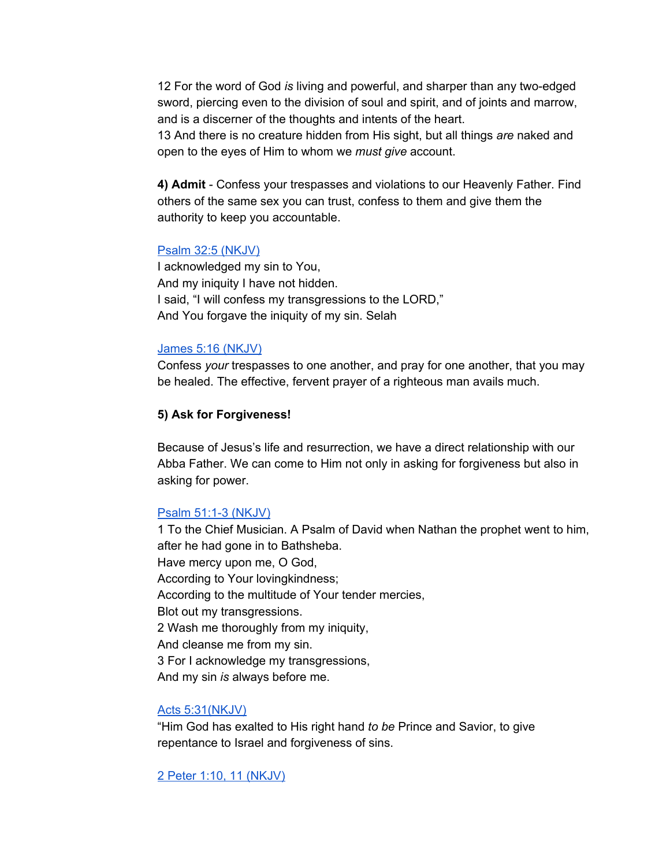12 For the word of God *is* living and powerful, and sharper than any two-edged sword, piercing even to the division of soul and spirit, and of joints and marrow, and is a discerner of the thoughts and intents of the heart.

13 And there is no creature hidden from His sight, but all things *are* naked and open to the eyes of Him to whom we *must give* account.

**4) Admit** - Confess your trespasses and violations to our Heavenly Father. Find others of the same sex you can trust, confess to them and give them the authority to keep you accountable.

#### Psalm 32:5 [\(NKJV\)](https://www.blueletterbible.org/nkjv/psa/32/5/s_510005)

I acknowledged my sin to You, And my iniquity I have not hidden. I said, "I will confess my transgressions to the LORD," And You forgave the iniquity of my sin. Selah

#### James 5:16 [\(NKJV\)](https://www.blueletterbible.org/nkjv/jas/5/16/s_1151016)

Confess *your* trespasses to one another, and pray for one another, that you may be healed. The effective, fervent prayer of a righteous man avails much.

## **5) Ask for Forgiveness!**

Because of Jesus's life and resurrection, we have a direct relationship with our Abba Father. We can come to Him not only in asking for forgiveness but also in asking for power.

## Psalm 51:1-3 [\(NKJV\)](https://www.blueletterbible.org/nkjv/psa/51/1/s_529001)

1 To the Chief Musician. A Psalm of David when Nathan the prophet went to him, after he had gone in to Bathsheba. Have mercy upon me, O God, According to Your lovingkindness; According to the multitude of Your tender mercies, Blot out my transgressions. 2 Wash me thoroughly from my iniquity, And cleanse me from my sin. 3 For I acknowledge my transgressions, And my sin *is* always before me.

## Acts [5:31\(NKJV\)](https://www.blueletterbible.org/nkjv/act/5/31/s_1023031)

"Him God has exalted to His right hand *to be* Prince and Savior, to give repentance to Israel and forgiveness of sins.

2 Peter 1:10, 11 [\(NKJV\)](https://www.blueletterbible.org/nkjv/2pe/1/10/s_1157010)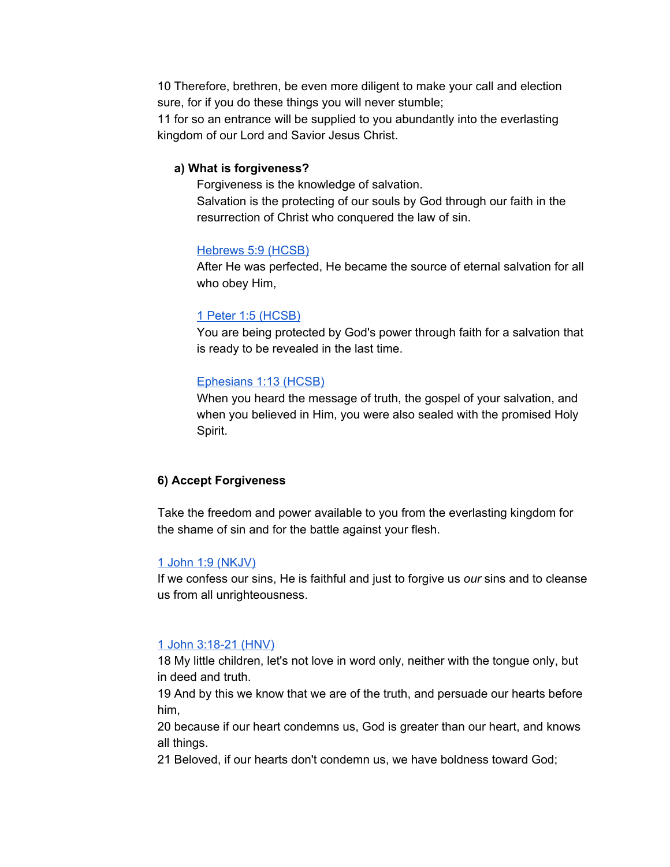10 Therefore, brethren, be even more diligent to make your call and election sure, for if you do these things you will never stumble;

11 for so an entrance will be supplied to you abundantly into the everlasting kingdom of our Lord and Savior Jesus Christ.

### **a) What is forgiveness?**

Forgiveness is the knowledge of salvation. Salvation is the protecting of our souls by God through our faith in the resurrection of Christ who conquered the law of sin.

#### [Hebrews](https://www.blueletterbible.org/hcsb/heb/5/9/s_1138009) 5:9 (HCSB)

After He was perfected, He became the source of eternal salvation for all who obey Him,

#### 1 Peter 1:5 [\(HCSB\)](https://www.blueletterbible.org/hcsb/1pe/1/5/s_1152005)

You are being protected by God's power through faith for a salvation that is ready to be revealed in the last time.

#### [Ephesians](https://www.blueletterbible.org/hcsb/eph/1/13/s_1098013) 1:13 (HCSB)

When you heard the message of truth, the gospel of your salvation, and when you believed in Him, you were also sealed with the promised Holy Spirit.

## **6) Accept Forgiveness**

Take the freedom and power available to you from the everlasting kingdom for the shame of sin and for the battle against your flesh.

## 1 John 1:9 [\(NKJV\)](https://www.blueletterbible.org/nkjv/1jo/1/9/s_1160009)

If we confess our sins, He is faithful and just to forgive us *our* sins and to cleanse us from all unrighteousness.

#### 1 John [3:18-21](https://www.blueletterbible.org/hnv/1jo/3/18/s_1162019) (HNV)

18 My little children, let's not love in word only, neither with the tongue only, but in deed and truth.

19 And by this we know that we are of the truth, and persuade our hearts before him,

20 because if our heart condemns us, God is greater than our heart, and knows all things.

21 Beloved, if our hearts don't condemn us, we have boldness toward God;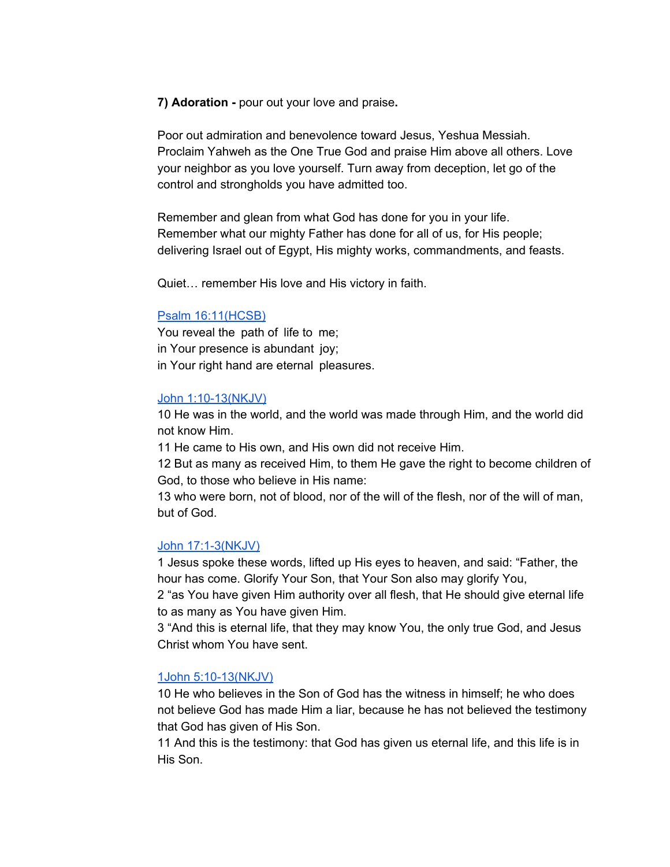**7) Adoration -** pour out your love and praise**.**

Poor out admiration and benevolence toward Jesus, Yeshua Messiah. Proclaim Yahweh as the One True God and praise Him above all others. Love your neighbor as you love yourself. Turn away from deception, let go of the control and strongholds you have admitted too.

Remember and glean from what God has done for you in your life. Remember what our mighty Father has done for all of us, for His people; delivering Israel out of Egypt, His mighty works, commandments, and feasts.

Quiet… remember His love and His victory in faith.

#### Psalm [16:11\(HCSB\)](https://www.blueletterbible.org/hcsb/psa/16/11/s_494011)

You reveal the path of life to me; in Your presence is abundant joy; in Your right hand are eternal pleasures.

#### John [1:10-13\(NKJV\)](https://www.blueletterbible.org/nkjv/jhn/1/10/s_998010)

10 He was in the world, and the world was made through Him, and the world did not know Him.

11 He came to His own, and His own did not receive Him.

12 But as many as received Him, to them He gave the right to become children of God, to those who believe in His name:

13 who were born, not of blood, nor of the will of the flesh, nor of the will of man, but of God.

## John [17:1-3\(NKJV\)](https://www.blueletterbible.org/nkjv/jhn/17/1/s_1014001)

1 Jesus spoke these words, lifted up His eyes to heaven, and said: "Father, the hour has come. Glorify Your Son, that Your Son also may glorify You,

2 "as You have given Him authority over all flesh, that He should give eternal life to as many as You have given Him.

3 "And this is eternal life, that they may know You, the only true God, and Jesus Christ whom You have sent.

## 1John [5:10-13\(NKJV\)](https://www.blueletterbible.org/nkjv/1jo/5/10/s_1164010)

10 He who believes in the Son of God has the witness in himself; he who does not believe God has made Him a liar, because he has not believed the testimony that God has given of His Son.

11 And this is the testimony: that God has given us eternal life, and this life is in His Son.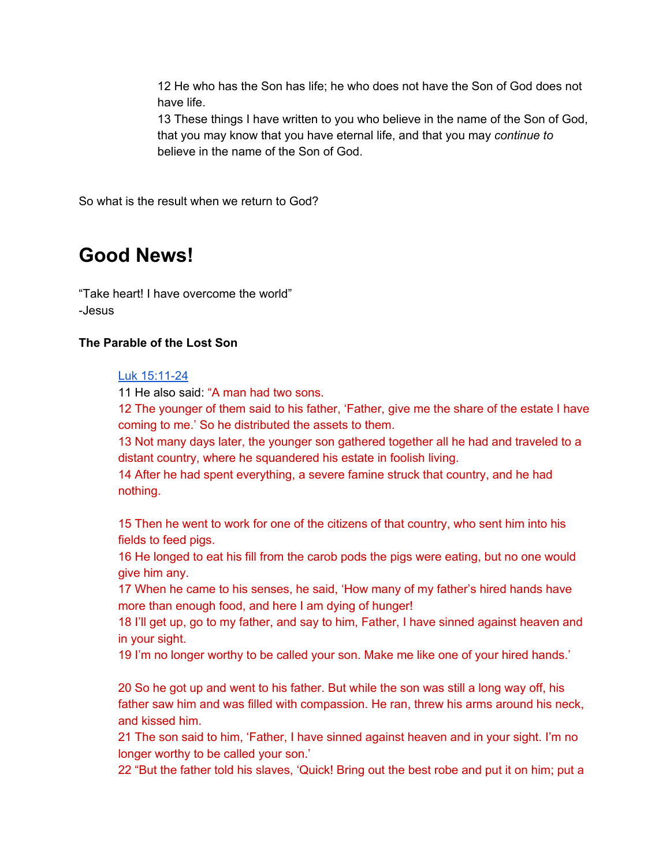12 He who has the Son has life; he who does not have the Son of God does not have life.

13 These things I have written to you who believe in the name of the Son of God, that you may know that you have eternal life, and that you may *continue to* believe in the name of the Son of God.

So what is the result when we return to God?

## **Good News!**

"Take heart! I have overcome the world" -Jesus

## **The Parable of the Lost Son**

Luk [15:11-24](https://www.blueletterbible.org/hcsb/luk/15/11/s_988011)

11 He also said: "A man had two sons.

12 The younger of them said to his father, 'Father, give me the share of the estate I have coming to me.' So he distributed the assets to them.

13 Not many days later, the younger son gathered together all he had and traveled to a distant country, where he squandered his estate in foolish living.

14 After he had spent everything, a severe famine struck that country, and he had nothing.

15 Then he went to work for one of the citizens of that country, who sent him into his fields to feed pigs.

16 He longed to eat his fill from the carob pods the pigs were eating, but no one would give him any.

17 When he came to his senses, he said, 'How many of my father's hired hands have more than enough food, and here I am dying of hunger!

18 I'll get up, go to my father, and say to him, Father, I have sinned against heaven and in your sight.

19 I'm no longer worthy to be called your son. Make me like one of your hired hands.'

20 So he got up and went to his father. But while the son was still a long way off, his father saw him and was filled with compassion. He ran, threw his arms around his neck, and kissed him.

21 The son said to him, 'Father, I have sinned against heaven and in your sight. I'm no longer worthy to be called your son.'

22 "But the father told his slaves, 'Quick! Bring out the best robe and put it on him; put a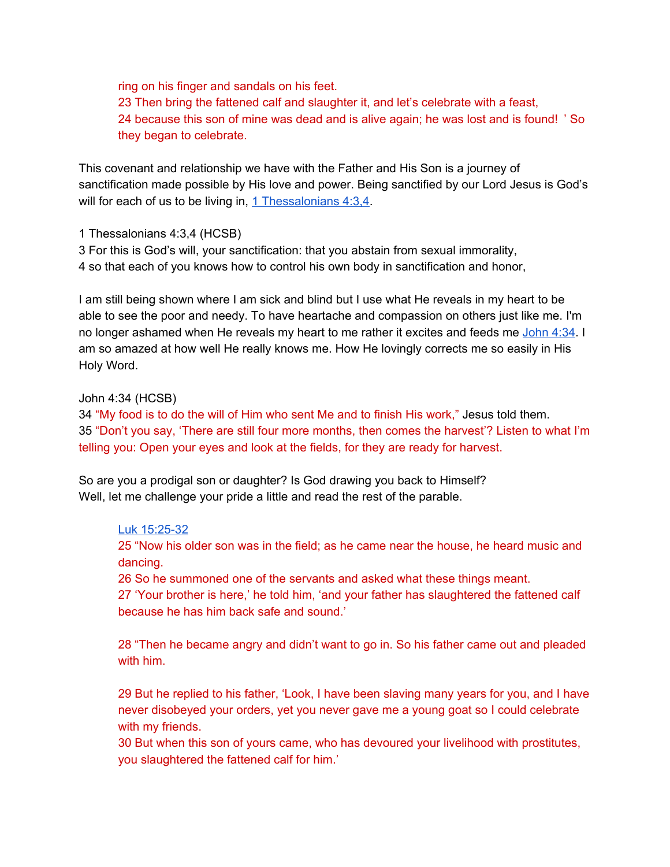ring on his finger and sandals on his feet. 23 Then bring the fattened calf and slaughter it, and let's celebrate with a feast, 24 because this son of mine was dead and is alive again; he was lost and is found! ' So they began to celebrate.

This covenant and relationship we have with the Father and His Son is a journey of sanctification made possible by His love and power. Being sanctified by our Lord Jesus is God's will for each of us to be living in, 1 [Thessalonians](https://www.blueletterbible.org/hcsb/1th/4/3/s_1115003) 4:3,4.

1 Thessalonians 4:3,4 (HCSB)

3 For this is God's will, your sanctification: that you abstain from sexual immorality, 4 so that each of you knows how to control his own body in sanctification and honor,

I am still being shown where I am sick and blind but I use what He reveals in my heart to be able to see the poor and needy. To have heartache and compassion on others just like me. I'm no longer ashamed when He reveals my heart to me rather it excites and feeds me [John](https://www.blueletterbible.org/hcsb/jhn/4/34/s_1001034) 4:34. I am so amazed at how well He really knows me. How He lovingly corrects me so easily in His Holy Word.

## John 4:34 (HCSB)

34 "My food is to do the will of Him who sent Me and to finish His work," Jesus told them. 35 "Don't you say, 'There are still four more months, then comes the harvest'? Listen to what I'm telling you: Open your eyes and look at the fields, for they are ready for harvest.

So are you a prodigal son or daughter? Is God drawing you back to Himself? Well, let me challenge your pride a little and read the rest of the parable.

## Luk [15:25-32](https://www.blueletterbible.org/hcsb/luk/15/25/s_988025)

25 "Now his older son was in the field; as he came near the house, he heard music and dancing.

26 So he summoned one of the servants and asked what these things meant.

27 'Your brother is here,' he told him, 'and your father has slaughtered the fattened calf because he has him back safe and sound.'

28 "Then he became angry and didn't want to go in. So his father came out and pleaded with him.

29 But he replied to his father, 'Look, I have been slaving many years for you, and I have never disobeyed your orders, yet you never gave me a young goat so I could celebrate with my friends.

30 But when this son of yours came, who has devoured your livelihood with prostitutes, you slaughtered the fattened calf for him.'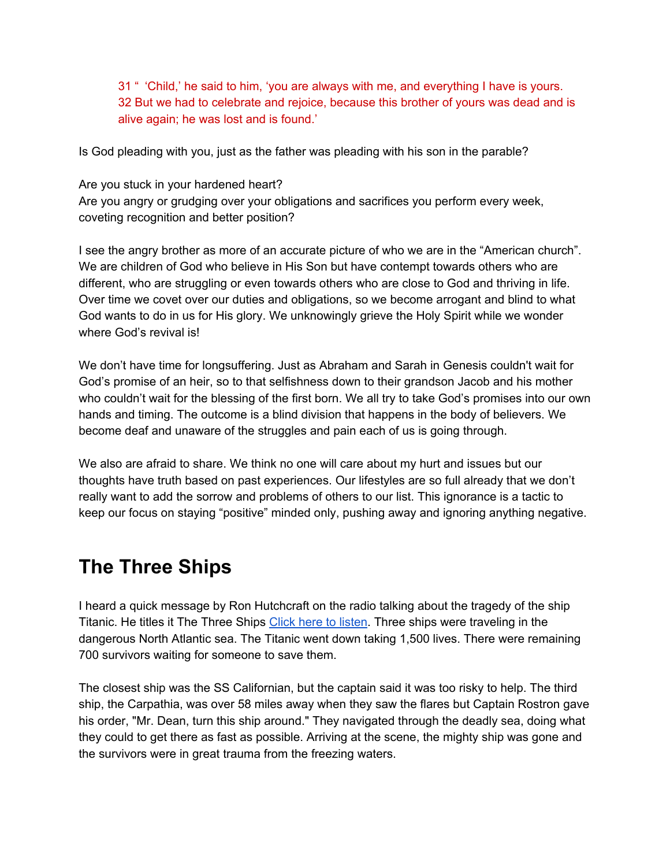31 " 'Child,' he said to him, 'you are always with me, and everything I have is yours. 32 But we had to celebrate and rejoice, because this brother of yours was dead and is alive again; he was lost and is found.'

Is God pleading with you, just as the father was pleading with his son in the parable?

Are you stuck in your hardened heart? Are you angry or grudging over your obligations and sacrifices you perform every week, coveting recognition and better position?

I see the angry brother as more of an accurate picture of who we are in the "American church". We are children of God who believe in His Son but have contempt towards others who are different, who are struggling or even towards others who are close to God and thriving in life. Over time we covet over our duties and obligations, so we become arrogant and blind to what God wants to do in us for His glory. We unknowingly grieve the Holy Spirit while we wonder where God's revival is!

We don't have time for longsuffering. Just as Abraham and Sarah in Genesis couldn't wait for God's promise of an heir, so to that selfishness down to their grandson Jacob and his mother who couldn't wait for the blessing of the first born. We all try to take God's promises into our own hands and timing. The outcome is a blind division that happens in the body of believers. We become deaf and unaware of the struggles and pain each of us is going through.

We also are afraid to share. We think no one will care about my hurt and issues but our thoughts have truth based on past experiences. Our lifestyles are so full already that we don't really want to add the sorrow and problems of others to our list. This ignorance is a tactic to keep our focus on staying "positive" minded only, pushing away and ignoring anything negative.

## **The Three Ships**

I heard a quick message by Ron Hutchcraft on the radio talking about the tragedy of the ship Titanic. He titles it The Three Ships Click here to [listen.](https://hutchcraft.com/a-word-with-you/your-most-important-relationship/the-tale-of-three-ships-7929) Three ships were traveling in the dangerous North Atlantic sea. The Titanic went down taking 1,500 lives. There were remaining 700 survivors waiting for someone to save them.

The closest ship was the SS Californian, but the captain said it was too risky to help. The third ship, the Carpathia, was over 58 miles away when they saw the flares but Captain Rostron gave his order, "Mr. Dean, turn this ship around." They navigated through the deadly sea, doing what they could to get there as fast as possible. Arriving at the scene, the mighty ship was gone and the survivors were in great trauma from the freezing waters.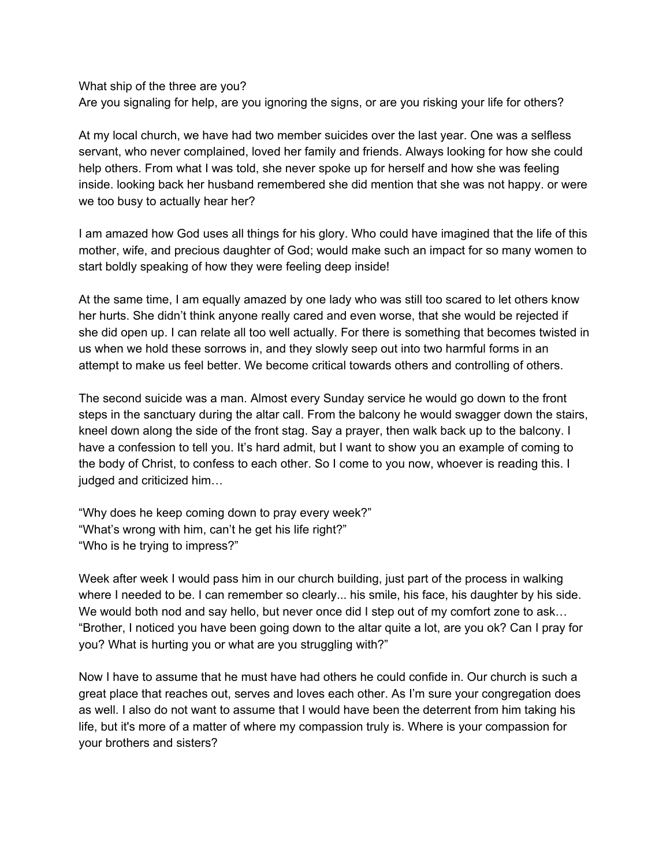What ship of the three are you? Are you signaling for help, are you ignoring the signs, or are you risking your life for others?

At my local church, we have had two member suicides over the last year. One was a selfless servant, who never complained, loved her family and friends. Always looking for how she could help others. From what I was told, she never spoke up for herself and how she was feeling inside. looking back her husband remembered she did mention that she was not happy. or were we too busy to actually hear her?

I am amazed how God uses all things for his glory. Who could have imagined that the life of this mother, wife, and precious daughter of God; would make such an impact for so many women to start boldly speaking of how they were feeling deep inside!

At the same time, I am equally amazed by one lady who was still too scared to let others know her hurts. She didn't think anyone really cared and even worse, that she would be rejected if she did open up. I can relate all too well actually. For there is something that becomes twisted in us when we hold these sorrows in, and they slowly seep out into two harmful forms in an attempt to make us feel better. We become critical towards others and controlling of others.

The second suicide was a man. Almost every Sunday service he would go down to the front steps in the sanctuary during the altar call. From the balcony he would swagger down the stairs, kneel down along the side of the front stag. Say a prayer, then walk back up to the balcony. I have a confession to tell you. It's hard admit, but I want to show you an example of coming to the body of Christ, to confess to each other. So I come to you now, whoever is reading this. I judged and criticized him…

"Why does he keep coming down to pray every week?" "What's wrong with him, can't he get his life right?" "Who is he trying to impress?"

Week after week I would pass him in our church building, just part of the process in walking where I needed to be. I can remember so clearly... his smile, his face, his daughter by his side. We would both nod and say hello, but never once did I step out of my comfort zone to ask... "Brother, I noticed you have been going down to the altar quite a lot, are you ok? Can I pray for you? What is hurting you or what are you struggling with?"

Now I have to assume that he must have had others he could confide in. Our church is such a great place that reaches out, serves and loves each other. As I'm sure your congregation does as well. I also do not want to assume that I would have been the deterrent from him taking his life, but it's more of a matter of where my compassion truly is. Where is your compassion for your brothers and sisters?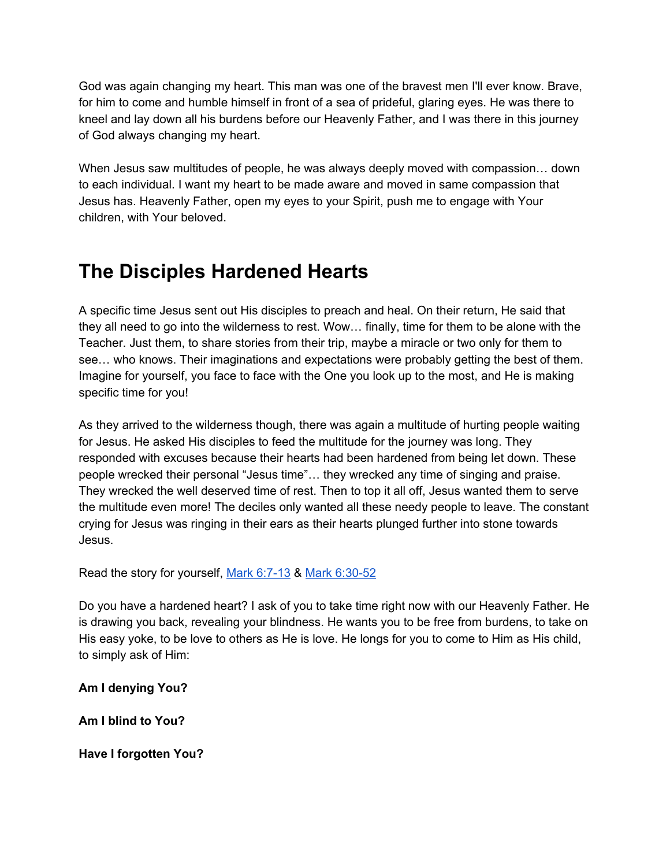God was again changing my heart. This man was one of the bravest men I'll ever know. Brave, for him to come and humble himself in front of a sea of prideful, glaring eyes. He was there to kneel and lay down all his burdens before our Heavenly Father, and I was there in this journey of God always changing my heart.

When Jesus saw multitudes of people, he was always deeply moved with compassion… down to each individual. I want my heart to be made aware and moved in same compassion that Jesus has. Heavenly Father, open my eyes to your Spirit, push me to engage with Your children, with Your beloved.

# **The Disciples Hardened Hearts**

A specific time Jesus sent out His disciples to preach and heal. On their return, He said that they all need to go into the wilderness to rest. Wow… finally, time for them to be alone with the Teacher. Just them, to share stories from their trip, maybe a miracle or two only for them to see… who knows. Their imaginations and expectations were probably getting the best of them. Imagine for yourself, you face to face with the One you look up to the most, and He is making specific time for you!

As they arrived to the wilderness though, there was again a multitude of hurting people waiting for Jesus. He asked His disciples to feed the multitude for the journey was long. They responded with excuses because their hearts had been hardened from being let down. These people wrecked their personal "Jesus time"… they wrecked any time of singing and praise. They wrecked the well deserved time of rest. Then to top it all off, Jesus wanted them to serve the multitude even more! The deciles only wanted all these needy people to leave. The constant crying for Jesus was ringing in their ears as their hearts plunged further into stone towards Jesus.

Read the story for yourself, Mark [6:7-13](https://www.blueletterbible.org/hcsb/mar/6/7/s_963007) & Mark [6:30-52](https://www.blueletterbible.org/hcsb/mar/6/30/s_963030)

Do you have a hardened heart? I ask of you to take time right now with our Heavenly Father. He is drawing you back, revealing your blindness. He wants you to be free from burdens, to take on His easy yoke, to be love to others as He is love. He longs for you to come to Him as His child, to simply ask of Him:

**Am I denying You?**

**Am I blind to You?**

**Have I forgotten You?**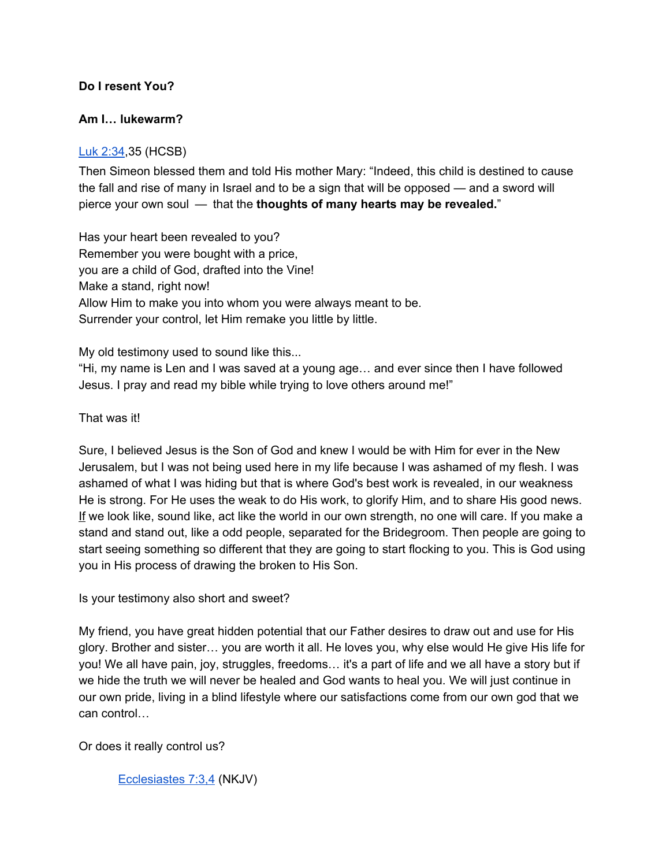## **Do I resent You?**

## **Am I… lukewarm?**

## Luk [2:34,](https://www.blueletterbible.org/hcsb/luk/2/34/s_975034)35 (HCSB)

Then Simeon blessed them and told His mother Mary: "Indeed, this child is destined to cause the fall and rise of many in Israel and to be a sign that will be opposed — and a sword will pierce your own soul — that the **thoughts of many hearts may be revealed.**"

Has your heart been revealed to you? Remember you were bought with a price, you are a child of God, drafted into the Vine! Make a stand, right now! Allow Him to make you into whom you were always meant to be. Surrender your control, let Him remake you little by little.

My old testimony used to sound like this...

"Hi, my name is Len and I was saved at a young age… and ever since then I have followed Jesus. I pray and read my bible while trying to love others around me!"

That was it!

Sure, I believed Jesus is the Son of God and knew I would be with Him for ever in the New Jerusalem, but I was not being used here in my life because I was ashamed of my flesh. I was ashamed of what I was hiding but that is where God's best work is revealed, in our weakness He is strong. For He uses the weak to do His work, to glorify Him, and to share His good news. If we look like, sound like, act like the world in our own strength, no one will care. If you make a stand and stand out, like a odd people, separated for the Bridegroom. Then people are going to start seeing something so different that they are going to start flocking to you. This is God using you in His process of drawing the broken to His Son.

Is your testimony also short and sweet?

My friend, you have great hidden potential that our Father desires to draw out and use for His glory. Brother and sister… you are worth it all. He loves you, why else would He give His life for you! We all have pain, joy, struggles, freedoms… it's a part of life and we all have a story but if we hide the truth we will never be healed and God wants to heal you. We will just continue in our own pride, living in a blind lifestyle where our satisfactions come from our own god that we can control…

Or does it really control us?

[Ecclesiastes](https://www.blueletterbible.org/nkjv/ecc/7/3/s_666003) 7:3,4 (NKJV)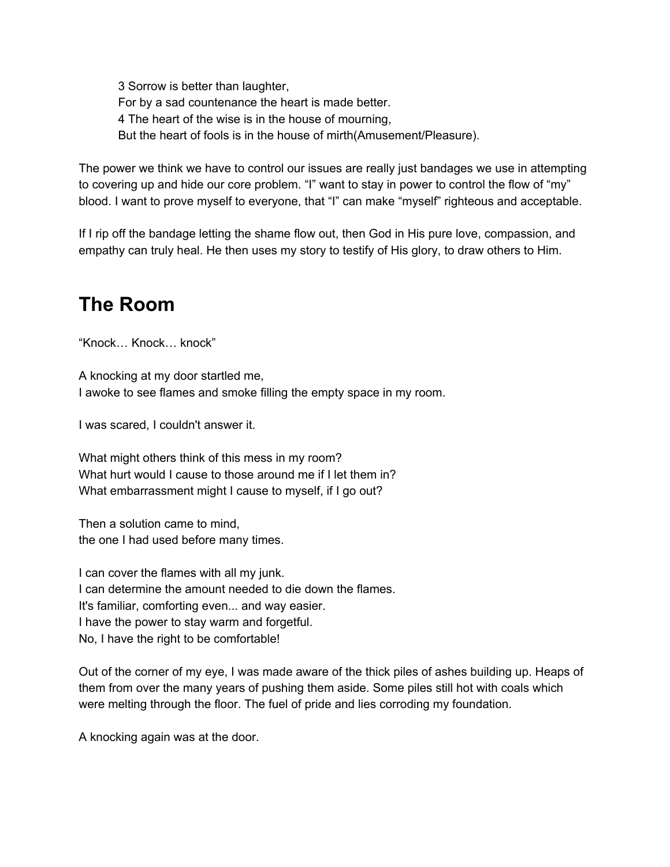3 Sorrow is better than laughter, For by a sad countenance the heart is made better. 4 The heart of the wise is in the house of mourning, But the heart of fools is in the house of mirth(Amusement/Pleasure).

The power we think we have to control our issues are really just bandages we use in attempting to covering up and hide our core problem. "I" want to stay in power to control the flow of "my" blood. I want to prove myself to everyone, that "I" can make "myself" righteous and acceptable.

If I rip off the bandage letting the shame flow out, then God in His pure love, compassion, and empathy can truly heal. He then uses my story to testify of His glory, to draw others to Him.

# **The Room**

"Knock… Knock… knock"

A knocking at my door startled me, I awoke to see flames and smoke filling the empty space in my room.

I was scared, I couldn't answer it.

What might others think of this mess in my room? What hurt would I cause to those around me if I let them in? What embarrassment might I cause to myself, if I go out?

Then a solution came to mind, the one I had used before many times.

I can cover the flames with all my junk. I can determine the amount needed to die down the flames. It's familiar, comforting even... and way easier. I have the power to stay warm and forgetful. No, I have the right to be comfortable!

Out of the corner of my eye, I was made aware of the thick piles of ashes building up. Heaps of them from over the many years of pushing them aside. Some piles still hot with coals which were melting through the floor. The fuel of pride and lies corroding my foundation.

A knocking again was at the door.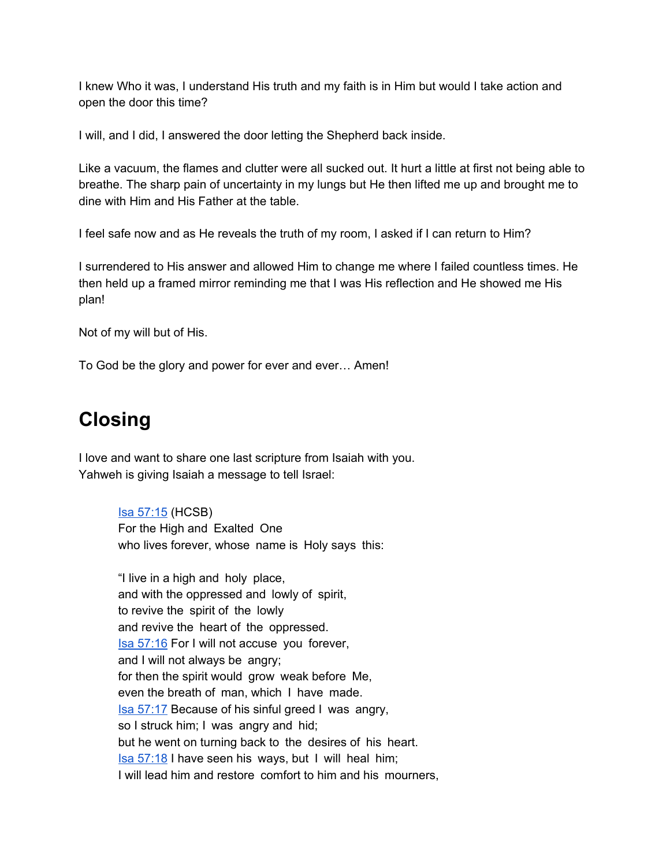I knew Who it was, I understand His truth and my faith is in Him but would I take action and open the door this time?

I will, and I did, I answered the door letting the Shepherd back inside.

Like a vacuum, the flames and clutter were all sucked out. It hurt a little at first not being able to breathe. The sharp pain of uncertainty in my lungs but He then lifted me up and brought me to dine with Him and His Father at the table.

I feel safe now and as He reveals the truth of my room, I asked if I can return to Him?

I surrendered to His answer and allowed Him to change me where I failed countless times. He then held up a framed mirror reminding me that I was His reflection and He showed me His plan!

Not of my will but of His.

To God be the glory and power for ever and ever… Amen!

## **Closing**

I love and want to share one last scripture from Isaiah with you. Yahweh is giving Isaiah a message to tell Israel:

> Isa [57:15](https://www.blueletterbible.org/hcsb/isa/57/15/s_736015) (HCSB) For the High and Exalted One who lives forever, whose name is Holy says this:

"I live in a high and holy place, and with the oppressed and lowly of spirit, to revive the spirit of the lowly and revive the heart of the oppressed. Isa [57:16](https://www.blueletterbible.org/hcsb/isa/57/16/s_736016) For I will not accuse you forever, and I will not always be angry; for then the spirit would grow weak before Me, even the breath of man, which I have made. Isa [57:17](https://www.blueletterbible.org/hcsb/isa/57/17/s_736017) Because of his sinful greed I was angry, so I struck him; I was angry and hid; but he went on turning back to the desires of his heart. Isa [57:18](https://www.blueletterbible.org/hcsb/isa/57/18/s_736018) I have seen his ways, but I will heal him; I will lead him and restore comfort to him and his mourners,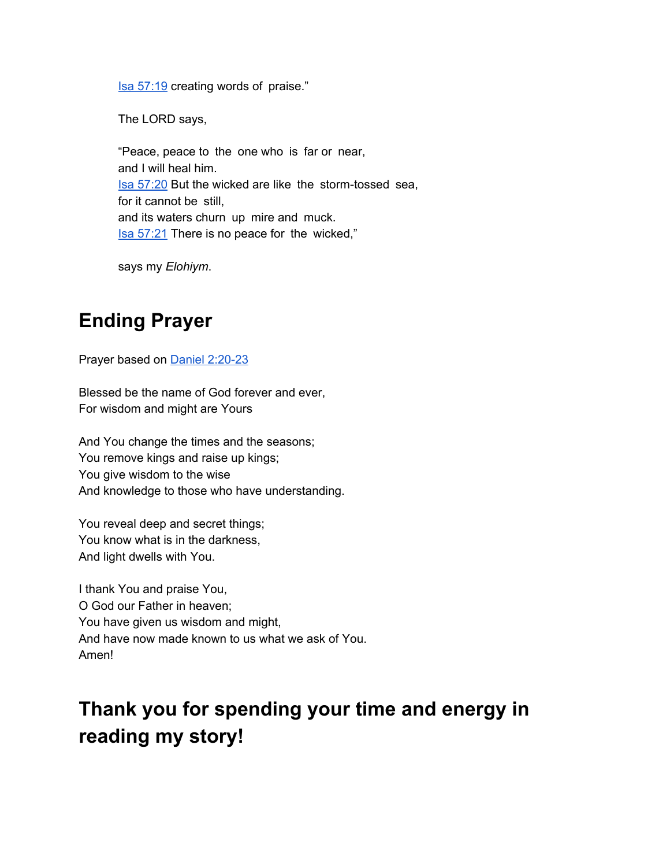Isa [57:19](https://www.blueletterbible.org/hcsb/isa/57/19/s_736019) creating words of praise."

The LORD says,

"Peace, peace to the one who is far or near, and I will heal him. Isa [57:20](https://www.blueletterbible.org/hcsb/isa/57/20/s_736020) But the wicked are like the storm-tossed sea, for it cannot be still, and its waters churn up mire and muck. **Isa [57:21](https://www.blueletterbible.org/hcsb/isa/57/21/s_736021)** There is no peace for the wicked,"

says my *Elohiym*.

## **Ending Prayer**

Prayer based on Daniel [2:20-23](https://www.blueletterbible.org/nkjv/dan/2/20/s_852020)

Blessed be the name of God forever and ever, For wisdom and might are Yours

And You change the times and the seasons; You remove kings and raise up kings; You give wisdom to the wise And knowledge to those who have understanding.

You reveal deep and secret things; You know what is in the darkness, And light dwells with You.

I thank You and praise You, O God our Father in heaven; You have given us wisdom and might, And have now made known to us what we ask of You. Amen!

# **Thank you for spending your time and energy in reading my story!**